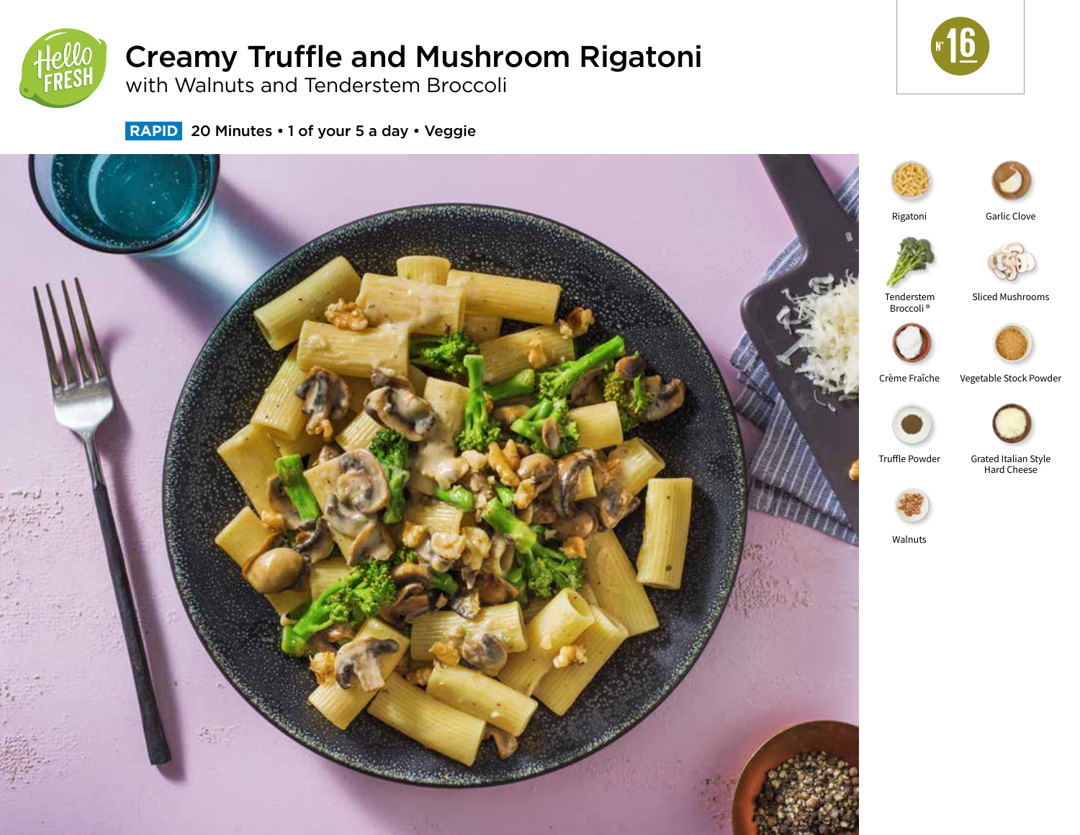

# Creamy Truffle and Mushroom Rigatoni



with Walnuts and Tenderstem Broccoli

 **RAPID** 20 Minutes • 1 of your 5 a day • Veggie